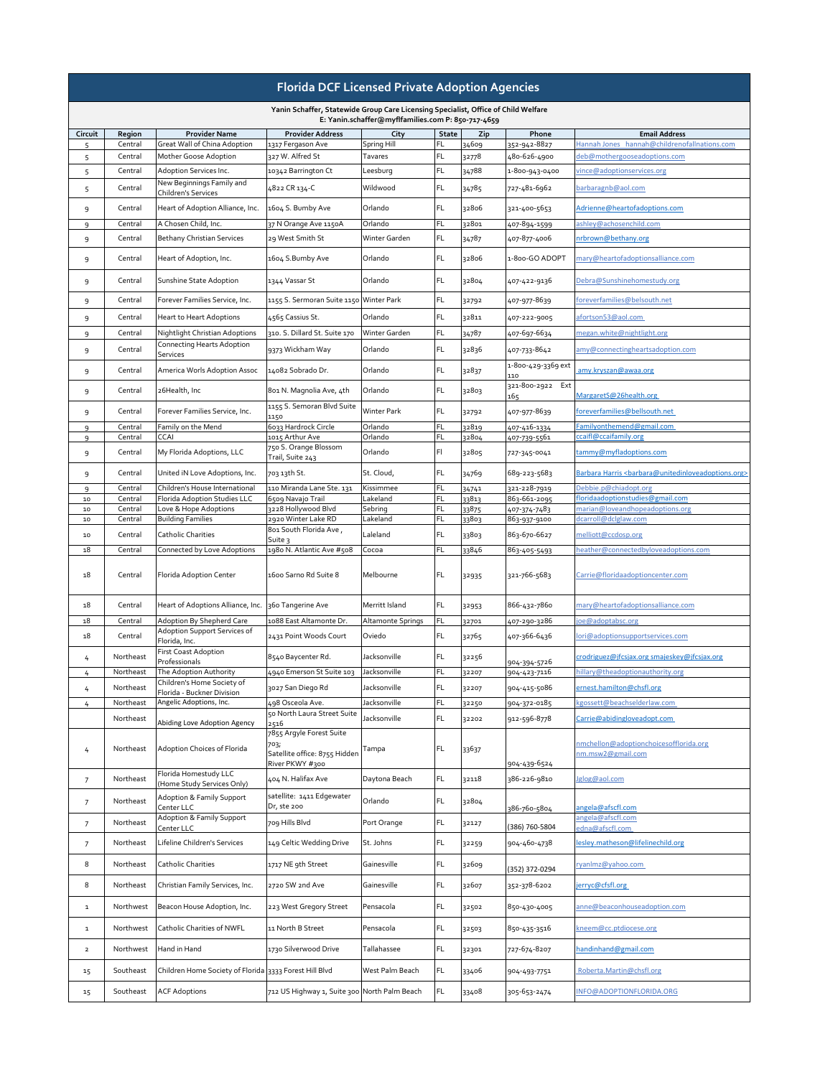| <b>Florida DCF Licensed Private Adoption Agencies</b>                                                                                    |                    |                                                                              |                                                  |                                      |              |                |                              |                                                                                        |  |  |
|------------------------------------------------------------------------------------------------------------------------------------------|--------------------|------------------------------------------------------------------------------|--------------------------------------------------|--------------------------------------|--------------|----------------|------------------------------|----------------------------------------------------------------------------------------|--|--|
| Yanin Schaffer, Statewide Group Care Licensing Specialist, Office of Child Welfare<br>E: Yanin.schaffer@myflfamilies.com P: 850-717-4659 |                    |                                                                              |                                                  |                                      |              |                |                              |                                                                                        |  |  |
| Circuit                                                                                                                                  | Region             | <b>Provider Name</b>                                                         | <b>Provider Address</b>                          | City                                 | <b>State</b> | Zip            | Phone                        | <b>Email Address</b>                                                                   |  |  |
| 5                                                                                                                                        | Central<br>Central | <b>Great Wall of China Adoption</b><br>Mother Goose Adoption                 | 1317 Fergason Ave<br>327 W. Alfred St            | <b>Spring Hill</b><br><b>Tavares</b> | FL.<br>FL.   | 34609<br>32778 | 352-942-8827<br>480-626-4900 | Hannah Jones hannah@childrenofallnations.com<br>deb@mothergooseadoptions.com           |  |  |
| 5                                                                                                                                        | Central            | Adoption Services Inc.                                                       | 10342 Barrington Ct                              | Leesburg                             | FL.          | 34788          | 1-800-943-0400               | vince@adoptionservices.org                                                             |  |  |
| 5 <sup>1</sup>                                                                                                                           | Central            | New Beginnings Family and<br><b>Children's Services</b>                      | 4822 CR 134-C                                    | Wildwood                             | FL.          | 34785          | 727-481-6962                 | barbaragnb@aol.com                                                                     |  |  |
| 9                                                                                                                                        | Central            | Heart of Adoption Alliance, Inc.                                             | 1604 S. Bumby Ave                                | Orlando                              | FL.          | 32806          | 321-400-5653                 | Adrienne@heartofadoptions.com                                                          |  |  |
| $\mathsf{Q}$                                                                                                                             | Central            | A Chosen Child, Inc.                                                         | 37 N Orange Ave 1150A                            | Orlando                              | FL.          | 32801          | 407-894-1599                 | ashley@achosenchild.com                                                                |  |  |
| 9                                                                                                                                        | Central            | <b>Bethany Christian Services</b>                                            | 29 West Smith St                                 | <b>Winter Garden</b>                 | FL.          | 34787          | 407-877-4006                 | nrbrown@bethany.org                                                                    |  |  |
| 9                                                                                                                                        | Central            | Heart of Adoption, Inc.                                                      | 1604 S.Bumby Ave                                 | Orlando                              | FL.          | 32806          | 1-800-GO ADOPT               | mary@heartofadoptionsalliance.com                                                      |  |  |
| 9                                                                                                                                        | Central            | Sunshine State Adoption                                                      | 1344 Vassar St                                   | Orlando                              | FL.          | 32804          | 407-422-9136                 | Debra@Sunshinehomestudy.org                                                            |  |  |
| 9                                                                                                                                        | Central            | Forever Families Service, Inc.                                               | 1155 S. Sermoran Suite 1150 Winter Park          |                                      | FL.          | 32792          | 407-977-8639                 | foreverfamilies@belsouth.net                                                           |  |  |
| 9                                                                                                                                        | Central            | <b>Heart to Heart Adoptions</b>                                              | 4565 Cassius St.                                 | Orlando                              | FL.          | 32811          | 407-222-9005                 | afortson53@aol.com                                                                     |  |  |
| 9                                                                                                                                        | Central            | Nightlight Christian Adoptions                                               | 310. S. Dillard St. Suite 170                    | Winter Garden                        | FL.          | 34787          | 407-697-6634                 | megan.white@nightlight.org                                                             |  |  |
| 9                                                                                                                                        | Central            | <b>Connecting Hearts Adoption</b><br>Services                                | 9373 Wickham Way                                 | Orlando                              | FL.          | 32836          | 407-733-8642                 | amy@connectingheartsadoption.com                                                       |  |  |
| 9                                                                                                                                        | Central            | America Worls Adoption Assoc                                                 | 14082 Sobrado Dr.                                | Orlando                              | FL.          | 32837          | 1-800-429-3369 ext<br>110    | amy.kryszan@awaa.org                                                                   |  |  |
| 9                                                                                                                                        | Central            | 26Health, Inc                                                                | 801 N. Magnolia Ave, 4th                         | Orlando                              | FL.          | 32803          | 321-800-2922 Ext             |                                                                                        |  |  |
|                                                                                                                                          |                    |                                                                              | 1155 S. Semoran Blvd Suite                       |                                      |              |                | 165                          | MargaretS@26health.org                                                                 |  |  |
| 9                                                                                                                                        | Central            | Forever Families Service, Inc.                                               | 1150                                             | <b>Winter Park</b>                   | FL.          | 32792          | 407-977-8639                 | foreverfamilies@bellsouth.net                                                          |  |  |
| 9<br>9                                                                                                                                   | Central<br>Central | Family on the Mend<br><b>CCAI</b>                                            | 6033 Hardrock Circle<br>1015 Arthur Ave          | Orlando<br>Orlando                   | FL.<br>FL.   | 32819<br>32804 | 407-416-1334<br>407-739-5561 | Familyonthemend@gmail.com<br>ccaifl@ccaifamily.org                                     |  |  |
| 9                                                                                                                                        | Central            | My Florida Adoptions, LLC                                                    | 750 S. Orange Blossom<br>Trail, Suite 243        | Orlando                              | F            | 32805          | 727-345-0041                 | tammy@myfladoptions.com                                                                |  |  |
| 9                                                                                                                                        | Central            | United iN Love Adoptions, Inc.                                               | 703 13th St.                                     | St. Cloud,                           | FL.          | 34769          | 689-223-5683                 | Barbara Harris <barbara@unitedinloveadoptions.org></barbara@unitedinloveadoptions.org> |  |  |
| 9                                                                                                                                        | Central            | Children's House International                                               | 110 Miranda Lane Ste. 131                        | Kissimmee                            | FL.          | 34741          | 321-228-7919                 | Debbie.p@chiadopt.org                                                                  |  |  |
| 10                                                                                                                                       | Central<br>Central | Florida Adoption Studies LLC<br>Love & Hope Adoptions                        | 6509 Navajo Trail<br>3228 Hollywood Blvd         | Lakeland<br>Sebring                  | FL.<br>FL.   | 33813          | 863-661-2095                 | floridaadoptionstudies@gmail.com<br>marian@loveandhopeadoptions.org                    |  |  |
| 10<br>$10\,$                                                                                                                             | Central            | <b>Building Families</b>                                                     | 2920 Winter Lake RD                              | Lakeland                             | FL.          | 33875<br>33803 | 407-374-7483<br>863-937-9100 | dcarroll@dclglaw.com                                                                   |  |  |
| 10                                                                                                                                       | Central            | <b>Catholic Charities</b>                                                    | 801 South Florida Ave,                           | Laleland                             | FL.          | 33803          | 863-670-6627                 | melliott@ccdosp.org                                                                    |  |  |
| 18                                                                                                                                       | Central            | Connected by Love Adoptions                                                  | Suite 3<br>1980 N. Atlantic Ave #508             | Cocoa                                | FL.          | 33846          | 863-405-5493                 | heather@connectedbyloveadoptions.com                                                   |  |  |
| 18                                                                                                                                       | Central            | Florida Adoption Center                                                      | 1600 Sarno Rd Suite 8                            | Melbourne                            | FL           | 32935          | 321-766-5683                 | Carrie@floridaadoptioncenter.com                                                       |  |  |
| 18                                                                                                                                       | Central            | Heart of Adoptions Alliance, Inc.                                            | 360 Tangerine Ave                                | Merritt Island                       | FL.          | 32953          | 866-432-7860                 | mary@heartofadoptionsalliance.com                                                      |  |  |
| 18                                                                                                                                       | Central            | Adoption By Shepherd Care                                                    | 1088 East Altamonte Dr.                          | <b>Altamonte Springs</b>             | FL           | 32701          | 407-290-3286                 | joe@adoptabsc.org                                                                      |  |  |
| 18                                                                                                                                       | Central            | Adoption Support Services of<br>Florida, Inc.<br><b>First Coast Adoption</b> | 2431 Point Woods Court                           | Oviedo                               | FL           | 32765          | 407-366-6436                 | lori@adoptionsupportservices.com                                                       |  |  |
| 4                                                                                                                                        | Northeast          | Professionals                                                                | 8540 Baycenter Rd.                               | Jacksonville                         | FL.          | 32256          | 904-394-5726                 | crodriguez@jfcsjax.org smajeskey@jfcsjax.org                                           |  |  |
| 4                                                                                                                                        | Northeast          | The Adoption Authority                                                       | 4940 Emerson St Suite 103                        | Jacksonville                         | FL.          | 32207          | 904-423-7116                 | hillary@theadoptionauthority.org                                                       |  |  |
| $\frac{1}{4}$                                                                                                                            | Northeast          | Children's Home Society of<br>Florida - Buckner Division                     | 3027 San Diego Rd                                | Jacksonville                         | FL.          | 32207          | 904-415-5086                 | ernest.hamilton@chsfl.org                                                              |  |  |
| 4                                                                                                                                        | Northeast          | Angelic Adoptions, Inc.                                                      | 498 Osceola Ave.                                 | Jacksonville                         | FL.          | 32250          | 904-372-0185                 | kgossett@beachselderlaw.com                                                            |  |  |
|                                                                                                                                          | Northeast          | Abiding Love Adoption Agency                                                 | 50 North Laura Street Suite<br>2516              | Jacksonville                         | <b>FL</b>    | 32202          | 912-596-8778                 | Carrie@abidingloveadopt.com                                                            |  |  |
| 4                                                                                                                                        | Northeast          | Adoption Choices of Florida                                                  | 7855 Argyle Forest Suite<br>703;                 | Tampa                                | FL           | 33637          |                              | nmchellon@adoptionchoicesofflorida.org                                                 |  |  |
|                                                                                                                                          |                    |                                                                              | Satellite office: 8755 Hidden<br>River PKWY #300 |                                      |              |                | 904-439-6524                 | nm.msw2@gmail.com                                                                      |  |  |
| $\overline{7}$                                                                                                                           | Northeast          | Florida Homestudy LLC<br>(Home Study Services Only)                          | 404 N. Halifax Ave                               | Daytona Beach                        | FL           | 32118          | 386-226-9810                 | Jglog@aol.com                                                                          |  |  |
| $\overline{7}$                                                                                                                           | Northeast          | <b>Adoption &amp; Family Support</b><br>Center LLC                           | satellite: 1411 Edgewater<br>Dr, ste 200         | Orlando                              | FL.          | 32804          | 386-760-5804                 | angela@afscfl.com                                                                      |  |  |
| $7^{\circ}$                                                                                                                              | Northeast          | <b>Adoption &amp; Family Support</b><br>Center LLC                           | 709 Hills Blvd                                   | Port Orange                          | FL.          | 32127          | (386) 760-5804               | angela@afscfl.com<br>edna@afscfl.com                                                   |  |  |
| $\overline{7}$                                                                                                                           | Northeast          | Lifeline Children's Services                                                 | 149 Celtic Wedding Drive                         | St. Johns                            | FL.          | 32259          | 904-460-4738                 | lesley.matheson@lifelinechild.org                                                      |  |  |
| 8                                                                                                                                        | Northeast          | <b>Catholic Charities</b>                                                    | 1717 NE 9th Street                               | Gainesville                          | FL.          | 32609          | (352) 372-0294               | ryanlmz@yahoo.com                                                                      |  |  |
| 8                                                                                                                                        | Northeast          | Christian Family Services, Inc.                                              | 2720 SW 2nd Ave                                  | Gainesville                          | FL.          | 32607          | 352-378-6202                 | jerryc@cfsfl.org                                                                       |  |  |
| $\mathbf{1}$                                                                                                                             | Northwest          | Beacon House Adoption, Inc.                                                  | 223 West Gregory Street                          | Pensacola                            | FL.          | 32502          | 850-430-4005                 | anne@beaconhouseadoption.com                                                           |  |  |
| $\mathbf{1}$                                                                                                                             | Northwest          | <b>Catholic Charities of NWFL</b>                                            | 11 North B Street                                | Pensacola                            | FL.          | 32503          | 850-435-3516                 | kneem@cc.ptdiocese.org                                                                 |  |  |
| $\overline{2}$                                                                                                                           | Northwest          | Hand in Hand                                                                 | 1730 Silverwood Drive                            | Tallahassee                          | FL.          | 32301          | 727-674-8207                 | handinhand@gmail.com                                                                   |  |  |
| 15                                                                                                                                       | Southeast          | Children Home Society of Florida 3333 Forest Hill Blvd                       |                                                  | <b>West Palm Beach</b>               | FL.          | 33406          | 904-493-7751                 | Roberta.Martin@chsfl.org                                                               |  |  |
|                                                                                                                                          | Southeast          | <b>ACF Adoptions</b>                                                         | 712 US Highway 1, Suite 300 North Palm Beach     |                                      | FL.          | 33408          | 305-653-2474                 | INFO@ADOPTIONFLORIDA.ORG                                                               |  |  |